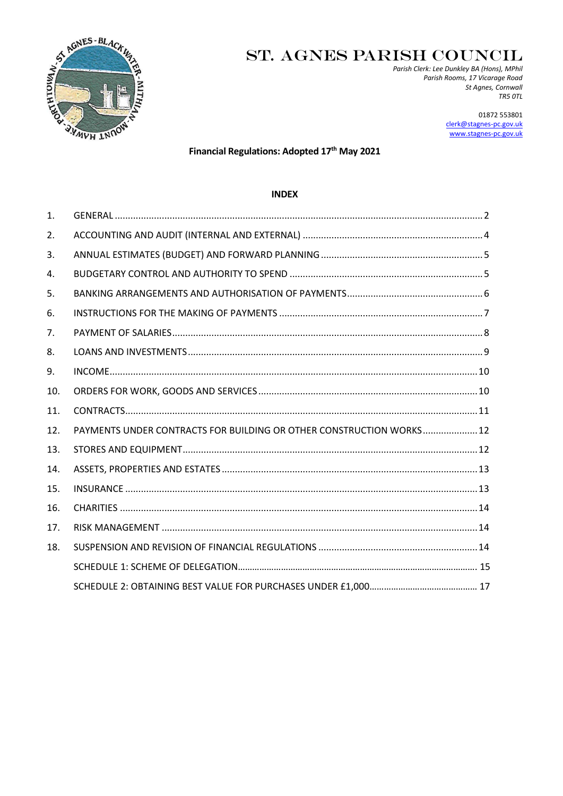

# ST. AGNES PARISH COUNCIL

Parish Clerk: Lee Dunkley BA (Hons), MPhil Parish Rooms, 17 Vicarage Road St Agnes, Cornwall TR5 OTL

> 01872 553801 clerk@stagnes-pc.gov.uk www.stagnes-pc.gov.uk

# Financial Regulations: Adopted 17th May 2021

# **INDEX**

| 1.  |                                                                      |  |
|-----|----------------------------------------------------------------------|--|
| 2.  |                                                                      |  |
| 3.  |                                                                      |  |
| 4.  |                                                                      |  |
| 5.  |                                                                      |  |
| 6.  |                                                                      |  |
| 7.  |                                                                      |  |
| 8.  |                                                                      |  |
| 9.  |                                                                      |  |
| 10. |                                                                      |  |
| 11. |                                                                      |  |
| 12. | PAYMENTS UNDER CONTRACTS FOR BUILDING OR OTHER CONSTRUCTION WORKS 12 |  |
| 13. |                                                                      |  |
| 14. |                                                                      |  |
| 15. |                                                                      |  |
| 16. |                                                                      |  |
| 17. |                                                                      |  |
| 18. |                                                                      |  |
|     |                                                                      |  |
|     |                                                                      |  |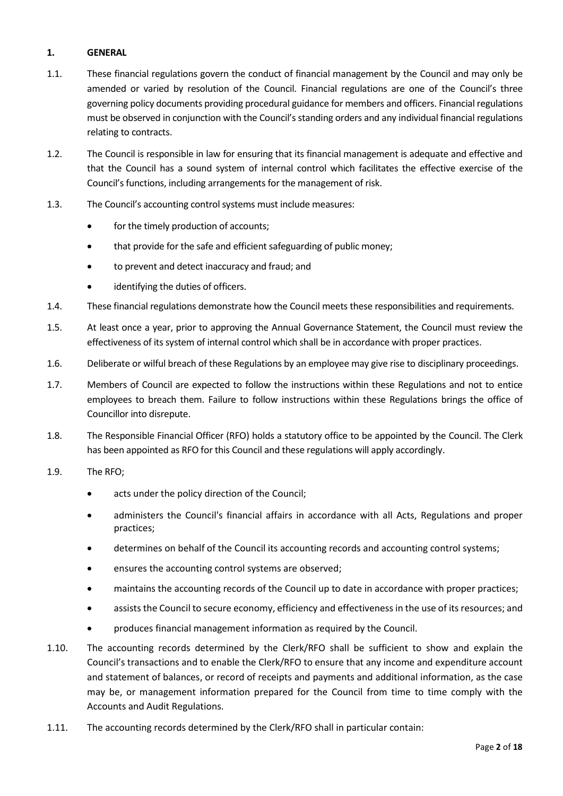# <span id="page-1-0"></span>**1. GENERAL**

- 1.1. These financial regulations govern the conduct of financial management by the Council and may only be amended or varied by resolution of the Council. Financial regulations are one of the Council's three governing policy documents providing procedural guidance for members and officers. Financial regulations must be observed in conjunction with the Council's standing orders and any individual financial regulations relating to contracts.
- 1.2. The Council is responsible in law for ensuring that its financial management is adequate and effective and that the Council has a sound system of internal control which facilitates the effective exercise of the Council's functions, including arrangements for the management of risk.
- 1.3. The Council's accounting control systems must include measures:
	- for the timely production of accounts;
	- that provide for the safe and efficient safeguarding of public money:
	- to prevent and detect inaccuracy and fraud; and
	- identifying the duties of officers.
- 1.4. These financial regulations demonstrate how the Council meets these responsibilities and requirements.
- 1.5. At least once a year, prior to approving the Annual Governance Statement, the Council must review the effectiveness of its system of internal control which shall be in accordance with proper practices.
- 1.6. Deliberate or wilful breach of these Regulations by an employee may give rise to disciplinary proceedings.
- 1.7. Members of Council are expected to follow the instructions within these Regulations and not to entice employees to breach them. Failure to follow instructions within these Regulations brings the office of Councillor into disrepute.
- 1.8. The Responsible Financial Officer (RFO) holds a statutory office to be appointed by the Council. The Clerk has been appointed as RFO for this Council and these regulations will apply accordingly.
- 1.9. The RFO;
	- acts under the policy direction of the Council;
	- administers the Council's financial affairs in accordance with all Acts, Regulations and proper practices;
	- determines on behalf of the Council its accounting records and accounting control systems;
	- ensures the accounting control systems are observed;
	- maintains the accounting records of the Council up to date in accordance with proper practices;
	- assists the Council to secure economy, efficiency and effectiveness in the use of its resources; and
	- produces financial management information as required by the Council.
- 1.10. The accounting records determined by the Clerk/RFO shall be sufficient to show and explain the Council's transactions and to enable the Clerk/RFO to ensure that any income and expenditure account and statement of balances, or record of receipts and payments and additional information, as the case may be, or management information prepared for the Council from time to time comply with the Accounts and Audit Regulations.
- 1.11. The accounting records determined by the Clerk/RFO shall in particular contain: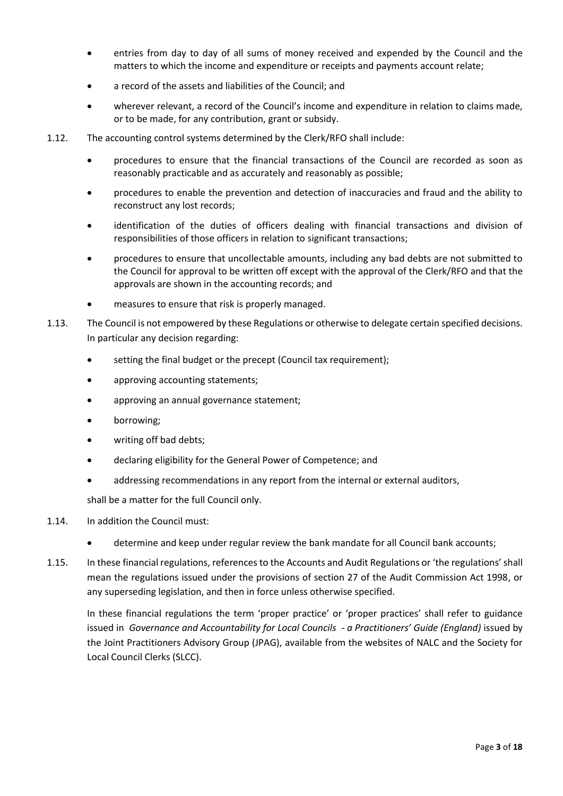- entries from day to day of all sums of money received and expended by the Council and the matters to which the income and expenditure or receipts and payments account relate;
- a record of the assets and liabilities of the Council; and
- wherever relevant, a record of the Council's income and expenditure in relation to claims made, or to be made, for any contribution, grant or subsidy.
- 1.12. The accounting control systems determined by the Clerk/RFO shall include:
	- procedures to ensure that the financial transactions of the Council are recorded as soon as reasonably practicable and as accurately and reasonably as possible;
	- procedures to enable the prevention and detection of inaccuracies and fraud and the ability to reconstruct any lost records;
	- identification of the duties of officers dealing with financial transactions and division of responsibilities of those officers in relation to significant transactions;
	- procedures to ensure that uncollectable amounts, including any bad debts are not submitted to the Council for approval to be written off except with the approval of the Clerk/RFO and that the approvals are shown in the accounting records; and
	- measures to ensure that risk is properly managed.
- 1.13. The Council is not empowered by these Regulations or otherwise to delegate certain specified decisions. In particular any decision regarding:
	- setting the final budget or the precept (Council tax requirement);
	- approving accounting statements;
	- approving an annual governance statement;
	- borrowing;
	- writing off bad debts;
	- declaring eligibility for the General Power of Competence; and
	- addressing recommendations in any report from the internal or external auditors,

shall be a matter for the full Council only.

- 1.14. In addition the Council must:
	- determine and keep under regular review the bank mandate for all Council bank accounts;
- 1.15. In these financial regulations, references to the Accounts and Audit Regulations or 'the regulations'shall mean the regulations issued under the provisions of section 27 of the Audit Commission Act 1998, or any superseding legislation, and then in force unless otherwise specified.

In these financial regulations the term 'proper practice' or 'proper practices' shall refer to guidance issued in *Governance and Accountability for Local Councils - a Practitioners' Guide (England)* issued by the Joint Practitioners Advisory Group (JPAG), available from the websites of NALC and the Society for Local Council Clerks (SLCC).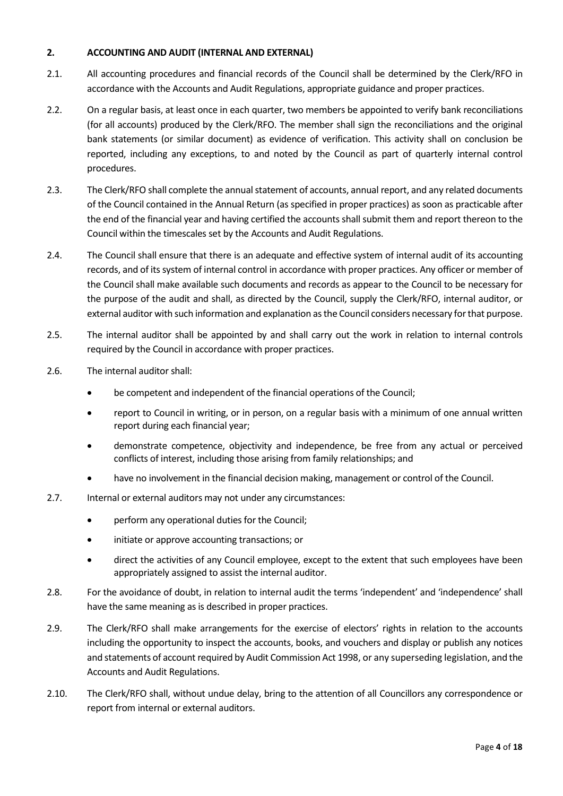# <span id="page-3-0"></span>**2. ACCOUNTING AND AUDIT (INTERNAL AND EXTERNAL)**

- 2.1. All accounting procedures and financial records of the Council shall be determined by the Clerk/RFO in accordance with the Accounts and Audit Regulations, appropriate guidance and proper practices.
- 2.2. On a regular basis, at least once in each quarter, two members be appointed to verify bank reconciliations (for all accounts) produced by the Clerk/RFO. The member shall sign the reconciliations and the original bank statements (or similar document) as evidence of verification. This activity shall on conclusion be reported, including any exceptions, to and noted by the Council as part of quarterly internal control procedures.
- 2.3. The Clerk/RFO shall complete the annual statement of accounts, annual report, and any related documents of the Council contained in the Annual Return (as specified in proper practices) as soon as practicable after the end of the financial year and having certified the accounts shall submit them and report thereon to the Council within the timescales set by the Accounts and Audit Regulations.
- 2.4. The Council shall ensure that there is an adequate and effective system of internal audit of its accounting records, and of its system of internal control in accordance with proper practices. Any officer or member of the Council shall make available such documents and records as appear to the Council to be necessary for the purpose of the audit and shall, as directed by the Council, supply the Clerk/RFO, internal auditor, or external auditor with such information and explanation as the Council considers necessary for that purpose.
- 2.5. The internal auditor shall be appointed by and shall carry out the work in relation to internal controls required by the Council in accordance with proper practices.
- 2.6. The internal auditor shall:
	- be competent and independent of the financial operations of the Council;
	- report to Council in writing, or in person, on a regular basis with a minimum of one annual written report during each financial year;
	- demonstrate competence, objectivity and independence, be free from any actual or perceived conflicts of interest, including those arising from family relationships; and
	- have no involvement in the financial decision making, management or control of the Council.
- 2.7. Internal or external auditors may not under any circumstances:
	- perform any operational duties for the Council;
	- initiate or approve accounting transactions; or
	- direct the activities of any Council employee, except to the extent that such employees have been appropriately assigned to assist the internal auditor.
- 2.8. For the avoidance of doubt, in relation to internal audit the terms 'independent' and 'independence' shall have the same meaning as is described in proper practices.
- 2.9. The Clerk/RFO shall make arrangements for the exercise of electors' rights in relation to the accounts including the opportunity to inspect the accounts, books, and vouchers and display or publish any notices and statements of account required by Audit Commission Act 1998, or any superseding legislation, and the Accounts and Audit Regulations.
- 2.10. The Clerk/RFO shall, without undue delay, bring to the attention of all Councillors any correspondence or report from internal or external auditors.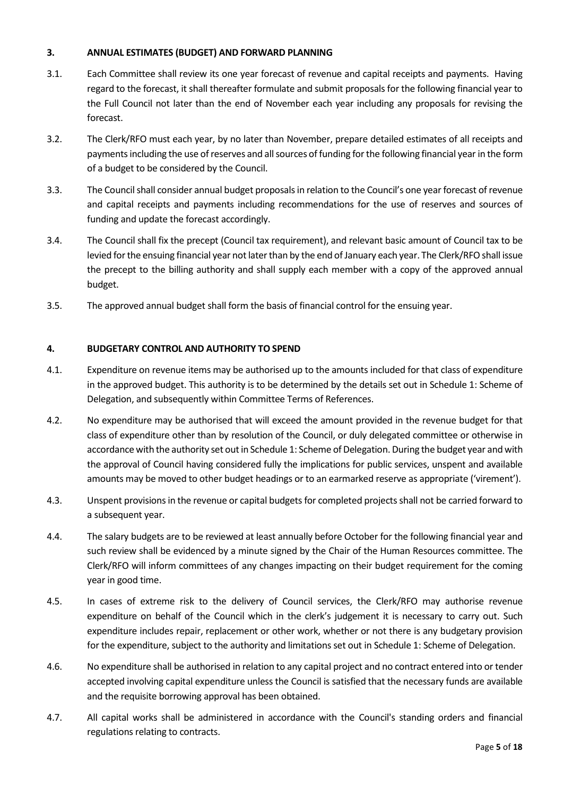# <span id="page-4-0"></span>**3. ANNUAL ESTIMATES (BUDGET) AND FORWARD PLANNING**

- 3.1. Each Committee shall review its one year forecast of revenue and capital receipts and payments. Having regard to the forecast, it shall thereafter formulate and submit proposals for the following financial year to the Full Council not later than the end of November each year including any proposals for revising the forecast.
- 3.2. The Clerk/RFO must each year, by no later than November, prepare detailed estimates of all receipts and payments including the use of reserves and all sources of funding for the following financial yearin the form of a budget to be considered by the Council.
- 3.3. The Councilshall consider annual budget proposals in relation to the Council's one year forecast of revenue and capital receipts and payments including recommendations for the use of reserves and sources of funding and update the forecast accordingly.
- 3.4. The Council shall fix the precept (Council tax requirement), and relevant basic amount of Council tax to be levied for the ensuing financial year not later than by the end of January each year. The Clerk/RFO shall issue the precept to the billing authority and shall supply each member with a copy of the approved annual budget.
- 3.5. The approved annual budget shall form the basis of financial control for the ensuing year.

# <span id="page-4-1"></span>**4. BUDGETARY CONTROL AND AUTHORITY TO SPEND**

- 4.1. Expenditure on revenue items may be authorised up to the amounts included for that class of expenditure in the approved budget. This authority is to be determined by the details set out in Schedule 1: Scheme of Delegation, and subsequently within Committee Terms of References.
- 4.2. No expenditure may be authorised that will exceed the amount provided in the revenue budget for that class of expenditure other than by resolution of the Council, or duly delegated committee or otherwise in accordance with the authority set out in Schedule 1: Scheme of Delegation. During the budget year and with the approval of Council having considered fully the implications for public services, unspent and available amounts may be moved to other budget headings or to an earmarked reserve as appropriate ('virement').
- 4.3. Unspent provisions in the revenue or capital budgets for completed projects shall not be carried forward to a subsequent year.
- 4.4. The salary budgets are to be reviewed at least annually before October for the following financial year and such review shall be evidenced by a minute signed by the Chair of the Human Resources committee. The Clerk/RFO will inform committees of any changes impacting on their budget requirement for the coming year in good time.
- 4.5. In cases of extreme risk to the delivery of Council services, the Clerk/RFO may authorise revenue expenditure on behalf of the Council which in the clerk's judgement it is necessary to carry out. Such expenditure includes repair, replacement or other work, whether or not there is any budgetary provision for the expenditure, subject to the authority and limitations set out in Schedule 1: Scheme of Delegation.
- 4.6. No expenditure shall be authorised in relation to any capital project and no contract entered into or tender accepted involving capital expenditure unless the Council is satisfied that the necessary funds are available and the requisite borrowing approval has been obtained.
- 4.7. All capital works shall be administered in accordance with the Council's standing orders and financial regulations relating to contracts.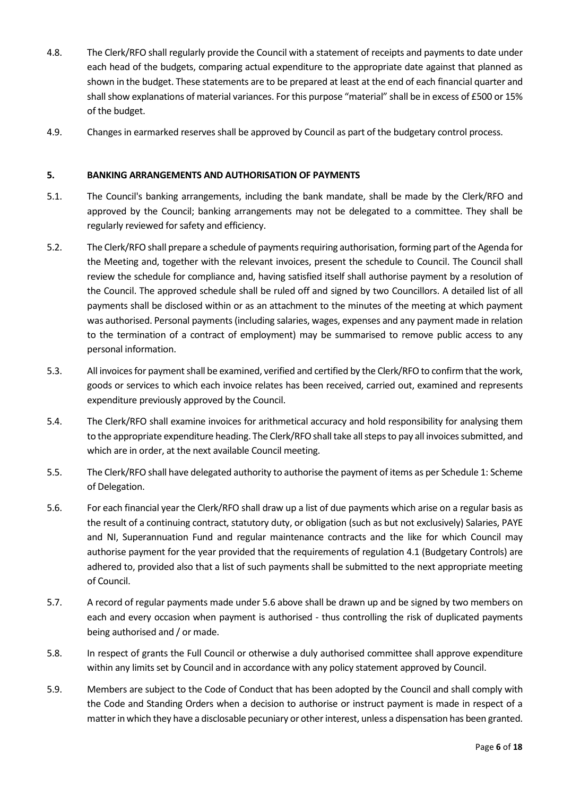- 4.8. The Clerk/RFO shall regularly provide the Council with a statement of receipts and payments to date under each head of the budgets, comparing actual expenditure to the appropriate date against that planned as shown in the budget. These statements are to be prepared at least at the end of each financial quarter and shall show explanations of material variances. For this purpose "material" shall be in excess of £500 or 15% of the budget.
- 4.9. Changes in earmarked reserves shall be approved by Council as part of the budgetary control process.

# <span id="page-5-0"></span>**5. BANKING ARRANGEMENTS AND AUTHORISATION OF PAYMENTS**

- 5.1. The Council's banking arrangements, including the bank mandate, shall be made by the Clerk/RFO and approved by the Council; banking arrangements may not be delegated to a committee. They shall be regularly reviewed for safety and efficiency.
- 5.2. The Clerk/RFO shall prepare a schedule of payments requiring authorisation, forming part of the Agenda for the Meeting and, together with the relevant invoices, present the schedule to Council. The Council shall review the schedule for compliance and, having satisfied itself shall authorise payment by a resolution of the Council. The approved schedule shall be ruled off and signed by two Councillors. A detailed list of all payments shall be disclosed within or as an attachment to the minutes of the meeting at which payment was authorised. Personal payments (including salaries, wages, expenses and any payment made in relation to the termination of a contract of employment) may be summarised to remove public access to any personal information.
- 5.3. All invoices for payment shall be examined, verified and certified by the Clerk/RFO to confirm that the work, goods or services to which each invoice relates has been received, carried out, examined and represents expenditure previously approved by the Council.
- 5.4. The Clerk/RFO shall examine invoices for arithmetical accuracy and hold responsibility for analysing them to the appropriate expenditure heading. The Clerk/RFO shall take all steps to pay all invoices submitted, and which are in order, at the next available Council meeting.
- 5.5. The Clerk/RFO shall have delegated authority to authorise the payment of items as per Schedule 1: Scheme of Delegation.
- 5.6. For each financial year the Clerk/RFO shall draw up a list of due payments which arise on a regular basis as the result of a continuing contract, statutory duty, or obligation (such as but not exclusively) Salaries, PAYE and NI, Superannuation Fund and regular maintenance contracts and the like for which Council may authorise payment for the year provided that the requirements of regulation 4.1 (Budgetary Controls) are adhered to, provided also that a list of such payments shall be submitted to the next appropriate meeting of Council.
- 5.7. A record of regular payments made under 5.6 above shall be drawn up and be signed by two members on each and every occasion when payment is authorised - thus controlling the risk of duplicated payments being authorised and / or made.
- 5.8. In respect of grants the Full Council or otherwise a duly authorised committee shall approve expenditure within any limits set by Council and in accordance with any policy statement approved by Council.
- 5.9. Members are subject to the Code of Conduct that has been adopted by the Council and shall comply with the Code and Standing Orders when a decision to authorise or instruct payment is made in respect of a matter in which they have a disclosable pecuniary or other interest, unless a dispensation has been granted.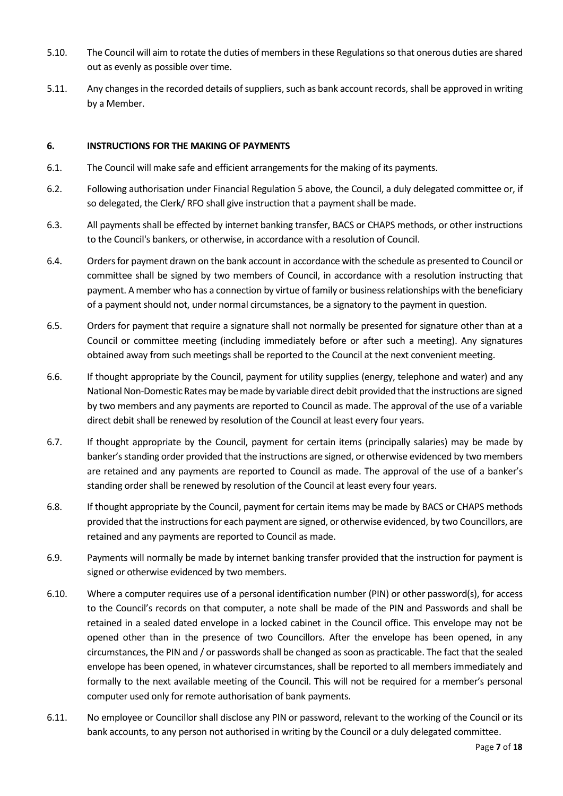- 5.10. The Council will aim to rotate the duties of members in these Regulations so that onerous duties are shared out as evenly as possible over time.
- 5.11. Any changes in the recorded details of suppliers, such as bank account records, shall be approved in writing by a Member.

# <span id="page-6-0"></span>**6. INSTRUCTIONS FOR THE MAKING OF PAYMENTS**

- 6.1. The Council will make safe and efficient arrangements for the making of its payments.
- 6.2. Following authorisation under Financial Regulation 5 above, the Council, a duly delegated committee or, if so delegated, the Clerk/ RFO shall give instruction that a payment shall be made.
- 6.3. All payments shall be effected by internet banking transfer, BACS or CHAPS methods, or other instructions to the Council's bankers, or otherwise, in accordance with a resolution of Council.
- 6.4. Orders for payment drawn on the bank account in accordance with the schedule as presented to Council or committee shall be signed by two members of Council, in accordance with a resolution instructing that payment. A member who has a connection by virtue of family or business relationships with the beneficiary of a payment should not, under normal circumstances, be a signatory to the payment in question.
- 6.5. Orders for payment that require a signature shall not normally be presented for signature other than at a Council or committee meeting (including immediately before or after such a meeting). Any signatures obtained away from such meetings shall be reported to the Council at the next convenient meeting.
- 6.6. If thought appropriate by the Council, payment for utility supplies (energy, telephone and water) and any National Non-Domestic Ratesmay be made by variable direct debit provided that the instructions are signed by two members and any payments are reported to Council as made. The approval of the use of a variable direct debit shall be renewed by resolution of the Council at least every four years.
- 6.7. If thought appropriate by the Council, payment for certain items (principally salaries) may be made by banker's standing order provided that the instructions are signed, or otherwise evidenced by two members are retained and any payments are reported to Council as made. The approval of the use of a banker's standing order shall be renewed by resolution of the Council at least every four years.
- 6.8. If thought appropriate by the Council, payment for certain items may be made by BACS or CHAPS methods provided that the instructions for each payment are signed, or otherwise evidenced, by two Councillors, are retained and any payments are reported to Council as made.
- 6.9. Payments will normally be made by internet banking transfer provided that the instruction for payment is signed or otherwise evidenced by two members.
- 6.10. Where a computer requires use of a personal identification number (PIN) or other password(s), for access to the Council's records on that computer, a note shall be made of the PIN and Passwords and shall be retained in a sealed dated envelope in a locked cabinet in the Council office. This envelope may not be opened other than in the presence of two Councillors. After the envelope has been opened, in any circumstances, the PIN and / or passwords shall be changed as soon as practicable. The fact that the sealed envelope has been opened, in whatever circumstances, shall be reported to all members immediately and formally to the next available meeting of the Council. This will not be required for a member's personal computer used only for remote authorisation of bank payments.
- 6.11. No employee or Councillor shall disclose any PIN or password, relevant to the working of the Council or its bank accounts, to any person not authorised in writing by the Council or a duly delegated committee.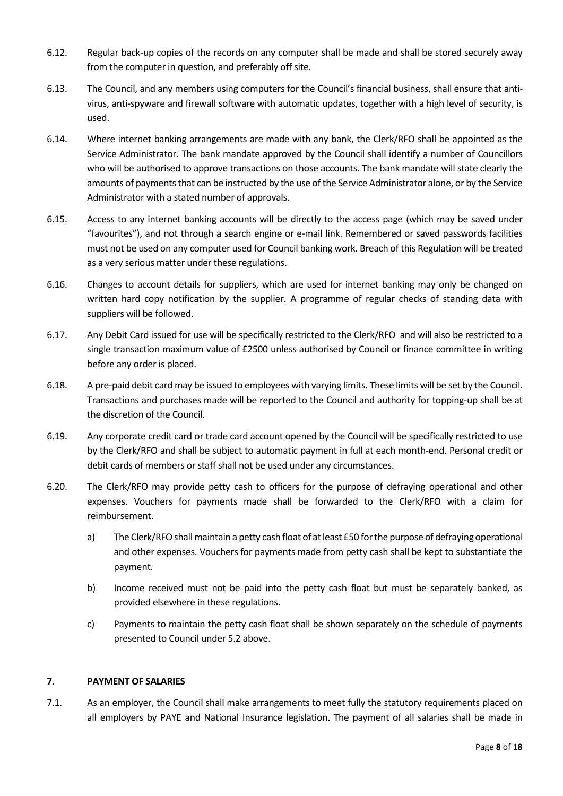- 6.12. Regular back-up copies of the records on any computer shall be made and shall be stored securely away from the computer in question, and preferably off site.
- 6.13. The Council, and any members using computers for the Council's financial business, shall ensure that antivirus, anti-spyware and firewall software with automatic updates, together with a high level of security, is used.
- 6.14. Where internet banking arrangements are made with any bank, the Clerk/RFO shall be appointed as the Service Administrator. The bank mandate approved by the Council shall identify a number of Councillors who will be authorised to approve transactions on those accounts. The bank mandate will state clearly the amounts of payments that can be instructed by the use of the Service Administrator alone, or by the Service Administrator with a stated number of approvals.
- 6.15. Access to any internet banking accounts will be directly to the access page (which may be saved under "favourites"), and not through a search engine or e-mail link. Remembered or saved passwords facilities must not be used on any computer used for Council banking work. Breach of this Regulation will be treated as a very serious matter under these regulations.
- 6.16. Changes to account details for suppliers, which are used for internet banking may only be changed on written hard copy notification by the supplier. A programme of regular checks of standing data with suppliers will be followed.
- 6.17. Any Debit Card issued for use will be specifically restricted to the Clerk/RFO and will also be restricted to a single transaction maximum value of £2500 unless authorised by Council or finance committee in writing before any order is placed.
- 6.18. A pre-paid debit card may be issued to employees with varying limits. These limits will be set by the Council. Transactions and purchases made will be reported to the Council and authority for topping-up shall be at the discretion of the Council.
- 6.19. Any corporate credit card or trade card account opened by the Council will be specifically restricted to use by the Clerk/RFO and shall be subject to automatic payment in full at each month-end. Personal credit or debit cards of members or staff shall not be used under any circumstances.
- 6.20. The Clerk/RFO may provide petty cash to officers for the purpose of defraying operational and other expenses. Vouchers for payments made shall be forwarded to the Clerk/RFO with a claim for reimbursement.
	- a) The Clerk/RFO shall maintain a petty cash float of at least £50 for the purpose of defraying operational and other expenses. Vouchers for payments made from petty cash shall be kept to substantiate the payment.
	- b) Income received must not be paid into the petty cash float but must be separately banked, as provided elsewhere in these regulations.
	- c) Payments to maintain the petty cash float shall be shown separately on the schedule of payments presented to Council under 5.2 above.

# <span id="page-7-0"></span>**7. PAYMENT OF SALARIES**

7.1. As an employer, the Council shall make arrangements to meet fully the statutory requirements placed on all employers by PAYE and National Insurance legislation. The payment of all salaries shall be made in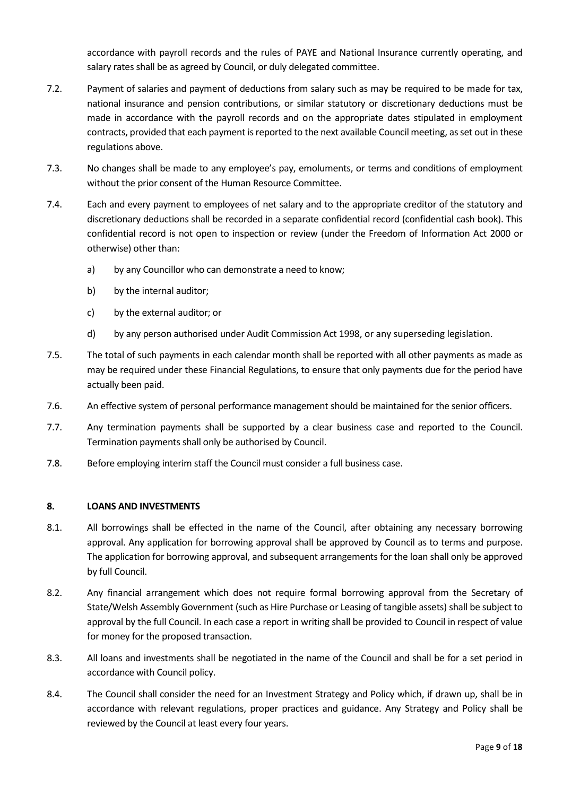accordance with payroll records and the rules of PAYE and National Insurance currently operating, and salary rates shall be as agreed by Council, or duly delegated committee.

- 7.2. Payment of salaries and payment of deductions from salary such as may be required to be made for tax, national insurance and pension contributions, or similar statutory or discretionary deductions must be made in accordance with the payroll records and on the appropriate dates stipulated in employment contracts, provided that each payment is reported to the next available Council meeting, as set out in these regulations above.
- 7.3. No changes shall be made to any employee's pay, emoluments, or terms and conditions of employment without the prior consent of the Human Resource Committee.
- 7.4. Each and every payment to employees of net salary and to the appropriate creditor of the statutory and discretionary deductions shall be recorded in a separate confidential record (confidential cash book). This confidential record is not open to inspection or review (under the Freedom of Information Act 2000 or otherwise) other than:
	- a) by any Councillor who can demonstrate a need to know;
	- b) by the internal auditor;
	- c) by the external auditor; or
	- d) by any person authorised under Audit Commission Act 1998, or any superseding legislation.
- 7.5. The total of such payments in each calendar month shall be reported with all other payments as made as may be required under these Financial Regulations, to ensure that only payments due for the period have actually been paid.
- 7.6. An effective system of personal performance management should be maintained for the senior officers.
- 7.7. Any termination payments shall be supported by a clear business case and reported to the Council. Termination payments shall only be authorised by Council.
- 7.8. Before employing interim staff the Council must consider a full business case.

# <span id="page-8-0"></span>**8. LOANS AND INVESTMENTS**

- 8.1. All borrowings shall be effected in the name of the Council, after obtaining any necessary borrowing approval. Any application for borrowing approval shall be approved by Council as to terms and purpose. The application for borrowing approval, and subsequent arrangements for the loan shall only be approved by full Council.
- 8.2. Any financial arrangement which does not require formal borrowing approval from the Secretary of State/Welsh Assembly Government (such as Hire Purchase or Leasing of tangible assets) shall be subject to approval by the full Council. In each case a report in writing shall be provided to Council in respect of value for money for the proposed transaction.
- 8.3. All loans and investments shall be negotiated in the name of the Council and shall be for a set period in accordance with Council policy.
- 8.4. The Council shall consider the need for an Investment Strategy and Policy which, if drawn up, shall be in accordance with relevant regulations, proper practices and guidance. Any Strategy and Policy shall be reviewed by the Council at least every four years.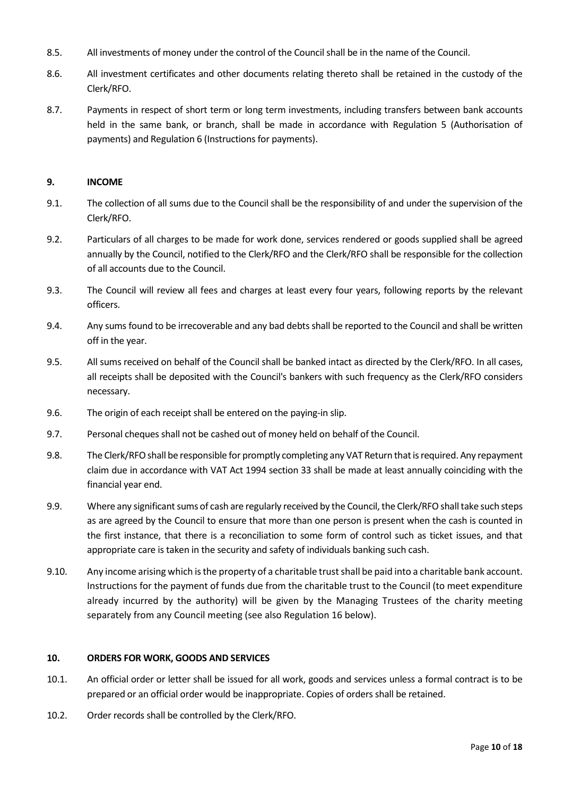- 8.5. All investments of money under the control of the Council shall be in the name of the Council.
- 8.6. All investment certificates and other documents relating thereto shall be retained in the custody of the Clerk/RFO.
- 8.7. Payments in respect of short term or long term investments, including transfers between bank accounts held in the same bank, or branch, shall be made in accordance with Regulation 5 (Authorisation of payments) and Regulation 6 (Instructions for payments).

#### <span id="page-9-0"></span>**9. INCOME**

- 9.1. The collection of all sums due to the Council shall be the responsibility of and under the supervision of the Clerk/RFO.
- 9.2. Particulars of all charges to be made for work done, services rendered or goods supplied shall be agreed annually by the Council, notified to the Clerk/RFO and the Clerk/RFO shall be responsible for the collection of all accounts due to the Council.
- 9.3. The Council will review all fees and charges at least every four years, following reports by the relevant officers.
- 9.4. Any sums found to be irrecoverable and any bad debts shall be reported to the Council and shall be written off in the year.
- 9.5. All sums received on behalf of the Council shall be banked intact as directed by the Clerk/RFO. In all cases, all receipts shall be deposited with the Council's bankers with such frequency as the Clerk/RFO considers necessary.
- 9.6. The origin of each receipt shall be entered on the paying-in slip.
- 9.7. Personal cheques shall not be cashed out of money held on behalf of the Council.
- 9.8. The Clerk/RFOshall be responsible for promptly completing any VAT Return that is required. Any repayment claim due in accordance with VAT Act 1994 section 33 shall be made at least annually coinciding with the financial year end.
- 9.9. Where any significant sums of cash are regularly received by the Council, the Clerk/RFOshall take such steps as are agreed by the Council to ensure that more than one person is present when the cash is counted in the first instance, that there is a reconciliation to some form of control such as ticket issues, and that appropriate care is taken in the security and safety of individuals banking such cash.
- 9.10. Any income arising which is the property of a charitable trust shall be paid into a charitable bank account. Instructions for the payment of funds due from the charitable trust to the Council (to meet expenditure already incurred by the authority) will be given by the Managing Trustees of the charity meeting separately from any Council meeting (see also Regulation 16 below).

# <span id="page-9-1"></span>**10. ORDERS FOR WORK, GOODS AND SERVICES**

- 10.1. An official order or letter shall be issued for all work, goods and services unless a formal contract is to be prepared or an official order would be inappropriate. Copies of orders shall be retained.
- 10.2. Order records shall be controlled by the Clerk/RFO.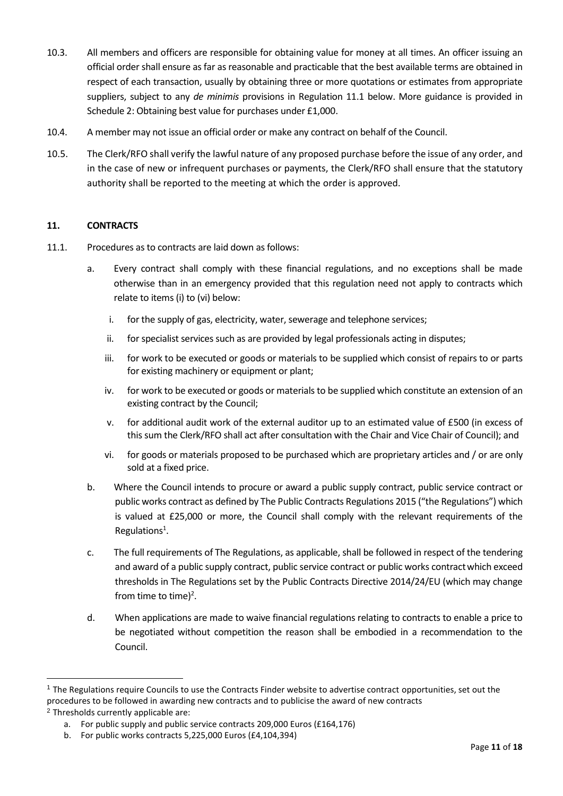- 10.3. All members and officers are responsible for obtaining value for money at all times. An officer issuing an official order shall ensure as far as reasonable and practicable that the best available terms are obtained in respect of each transaction, usually by obtaining three or more quotations or estimates from appropriate suppliers, subject to any *de minimis* provisions in Regulation 11.1 below. More guidance is provided in Schedule 2: Obtaining best value for purchases under £1,000.
- 10.4. A member may not issue an official order or make any contract on behalf of the Council.
- 10.5. The Clerk/RFO shall verify the lawful nature of any proposed purchase before the issue of any order, and in the case of new or infrequent purchases or payments, the Clerk/RFO shall ensure that the statutory authority shall be reported to the meeting at which the order is approved.

# <span id="page-10-0"></span>**11. CONTRACTS**

- 11.1. Procedures as to contracts are laid down as follows:
	- a. Every contract shall comply with these financial regulations, and no exceptions shall be made otherwise than in an emergency provided that this regulation need not apply to contracts which relate to items (i) to (vi) below:
		- i. for the supply of gas, electricity, water, sewerage and telephone services;
		- ii. for specialist services such as are provided by legal professionals acting in disputes;
		- iii. for work to be executed or goods or materials to be supplied which consist of repairs to or parts for existing machinery or equipment or plant:
		- iv. for work to be executed or goods or materials to be supplied which constitute an extension of an existing contract by the Council;
		- v. for additional audit work of the external auditor up to an estimated value of £500 (in excess of this sum the Clerk/RFO shall act after consultation with the Chair and Vice Chair of Council); and
		- vi. for goods or materials proposed to be purchased which are proprietary articles and / or are only sold at a fixed price.
	- b. Where the Council intends to procure or award a public supply contract, public service contract or public works contract as defined by The Public Contracts Regulations 2015 ("the Regulations") which is valued at £25,000 or more, the Council shall comply with the relevant requirements of the Regulations<sup>1</sup>.
	- c. The full requirements of The Regulations, as applicable, shall be followed in respect of the tendering and award of a public supply contract, public service contract or public works contractwhich exceed thresholds in The Regulations set by the Public Contracts Directive 2014/24/EU (which may change from time to time)<sup>2</sup>.
	- d. When applications are made to waive financial regulations relating to contracts to enable a price to be negotiated without competition the reason shall be embodied in a recommendation to the Council.

 $1$  The Regulations require Councils to use the Contracts Finder website to advertise contract opportunities, set out the procedures to be followed in awarding new contracts and to publicise the award of new contracts <sup>2</sup> Thresholds currently applicable are:

a. For public supply and public service contracts 209,000 Euros (£164,176)

b. For public works contracts 5,225,000 Euros (£4,104,394)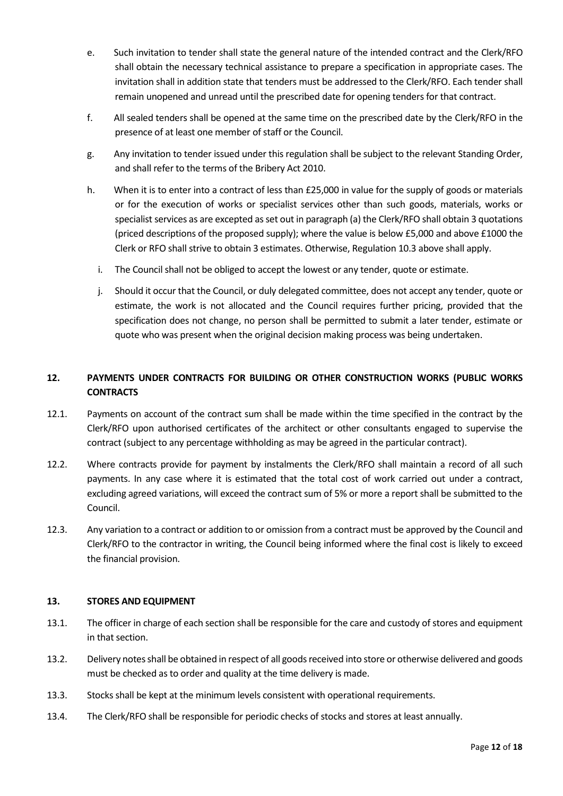- e. Such invitation to tender shall state the general nature of the intended contract and the Clerk/RFO shall obtain the necessary technical assistance to prepare a specification in appropriate cases. The invitation shall in addition state that tenders must be addressed to the Clerk/RFO. Each tender shall remain unopened and unread until the prescribed date for opening tenders for that contract.
- f. All sealed tenders shall be opened at the same time on the prescribed date by the Clerk/RFO in the presence of at least one member of staff or the Council.
- g. Any invitation to tender issued under this regulation shall be subject to the relevant Standing Order, and shall refer to the terms of the Bribery Act 2010.
- h. When it is to enter into a contract of less than £25,000 in value for the supply of goods or materials or for the execution of works or specialist services other than such goods, materials, works or specialist services as are excepted as set out in paragraph (a) the Clerk/RFO shall obtain 3 quotations (priced descriptions of the proposed supply); where the value is below £5,000 and above £1000 the Clerk or RFO shall strive to obtain 3 estimates. Otherwise, Regulation 10.3 above shall apply.
	- i. The Council shall not be obliged to accept the lowest or any tender, quote or estimate.
	- j. Should it occur that the Council, or duly delegated committee, does not accept any tender, quote or estimate, the work is not allocated and the Council requires further pricing, provided that the specification does not change, no person shall be permitted to submit a later tender, estimate or quote who was present when the original decision making process was being undertaken.

# <span id="page-11-0"></span>**12. PAYMENTS UNDER CONTRACTS FOR BUILDING OR OTHER CONSTRUCTION WORKS (PUBLIC WORKS CONTRACTS**

- 12.1. Payments on account of the contract sum shall be made within the time specified in the contract by the Clerk/RFO upon authorised certificates of the architect or other consultants engaged to supervise the contract (subject to any percentage withholding as may be agreed in the particular contract).
- 12.2. Where contracts provide for payment by instalments the Clerk/RFO shall maintain a record of all such payments. In any case where it is estimated that the total cost of work carried out under a contract, excluding agreed variations, will exceed the contract sum of 5% or more a report shall be submitted to the Council.
- 12.3. Any variation to a contract or addition to or omission from a contract must be approved by the Council and Clerk/RFO to the contractor in writing, the Council being informed where the final cost is likely to exceed the financial provision.

# <span id="page-11-1"></span>**13. STORES AND EQUIPMENT**

- 13.1. The officer in charge of each section shall be responsible for the care and custody of stores and equipment in that section.
- 13.2. Delivery notes shall be obtained in respect of all goods received into store or otherwise delivered and goods must be checked as to order and quality at the time delivery is made.
- 13.3. Stocks shall be kept at the minimum levels consistent with operational requirements.
- 13.4. The Clerk/RFO shall be responsible for periodic checks of stocks and stores at least annually.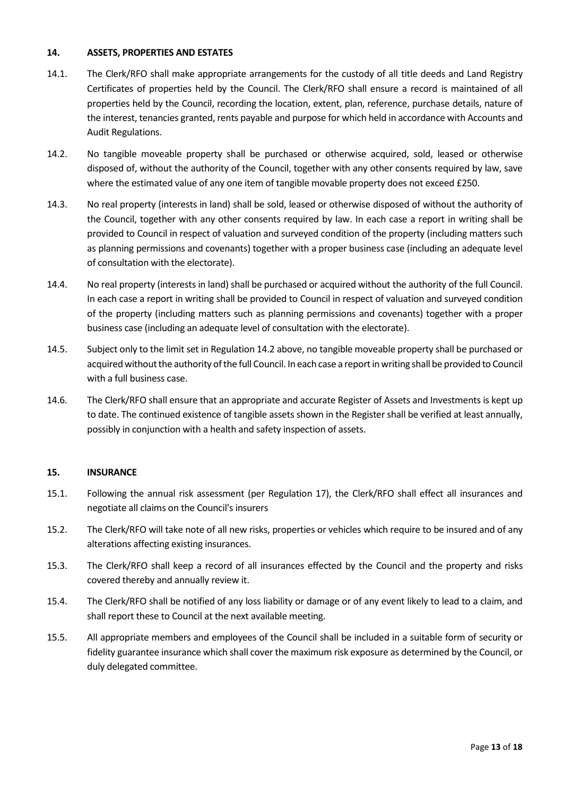#### <span id="page-12-0"></span>**14. ASSETS, PROPERTIES AND ESTATES**

- 14.1. The Clerk/RFO shall make appropriate arrangements for the custody of all title deeds and Land Registry Certificates of properties held by the Council. The Clerk/RFO shall ensure a record is maintained of all properties held by the Council, recording the location, extent, plan, reference, purchase details, nature of the interest, tenancies granted, rents payable and purpose for which held in accordance with Accounts and Audit Regulations.
- 14.2. No tangible moveable property shall be purchased or otherwise acquired, sold, leased or otherwise disposed of, without the authority of the Council, together with any other consents required by law, save where the estimated value of any one item of tangible movable property does not exceed £250.
- 14.3. No real property (interests in land) shall be sold, leased or otherwise disposed of without the authority of the Council, together with any other consents required by law. In each case a report in writing shall be provided to Council in respect of valuation and surveyed condition of the property (including matters such as planning permissions and covenants) together with a proper business case (including an adequate level of consultation with the electorate).
- 14.4. No real property (interests in land) shall be purchased or acquired without the authority of the full Council. In each case a report in writing shall be provided to Council in respect of valuation and surveyed condition of the property (including matters such as planning permissions and covenants) together with a proper business case (including an adequate level of consultation with the electorate).
- 14.5. Subject only to the limit set in Regulation 14.2 above, no tangible moveable property shall be purchased or acquired without the authority of the full Council. In each case a report in writing shall be provided to Council with a full business case.
- 14.6. The Clerk/RFO shall ensure that an appropriate and accurate Register of Assets and Investments is kept up to date. The continued existence of tangible assets shown in the Register shall be verified at least annually, possibly in conjunction with a health and safety inspection of assets.

# <span id="page-12-1"></span>**15. INSURANCE**

- 15.1. Following the annual risk assessment (per Regulation 17), the Clerk/RFO shall effect all insurances and negotiate all claims on the Council's insurers
- 15.2. The Clerk/RFO will take note of all new risks, properties or vehicles which require to be insured and of any alterations affecting existing insurances.
- 15.3. The Clerk/RFO shall keep a record of all insurances effected by the Council and the property and risks covered thereby and annually review it.
- 15.4. The Clerk/RFO shall be notified of any loss liability or damage or of any event likely to lead to a claim, and shall report these to Council at the next available meeting.
- 15.5. All appropriate members and employees of the Council shall be included in a suitable form of security or fidelity guarantee insurance which shall cover the maximum risk exposure as determined by the Council, or duly delegated committee.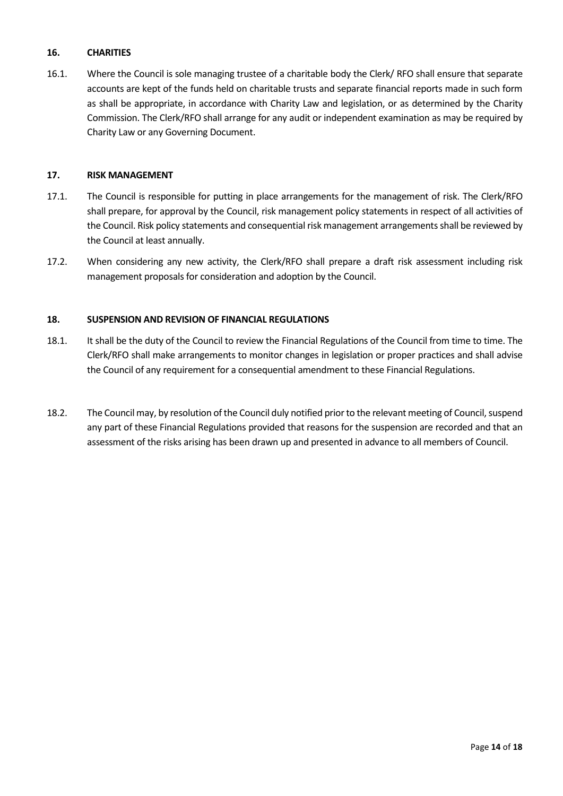# <span id="page-13-0"></span>**16. CHARITIES**

16.1. Where the Council is sole managing trustee of a charitable body the Clerk/ RFO shall ensure that separate accounts are kept of the funds held on charitable trusts and separate financial reports made in such form as shall be appropriate, in accordance with Charity Law and legislation, or as determined by the Charity Commission. The Clerk/RFO shall arrange for any audit or independent examination as may be required by Charity Law or any Governing Document.

# <span id="page-13-1"></span>**17. RISK MANAGEMENT**

- 17.1. The Council is responsible for putting in place arrangements for the management of risk. The Clerk/RFO shall prepare, for approval by the Council, risk management policy statements in respect of all activities of the Council. Risk policy statements and consequential risk management arrangements shall be reviewed by the Council at least annually.
- 17.2. When considering any new activity, the Clerk/RFO shall prepare a draft risk assessment including risk management proposals for consideration and adoption by the Council.

# <span id="page-13-2"></span>**18. SUSPENSION AND REVISION OF FINANCIAL REGULATIONS**

- 18.1. It shall be the duty of the Council to review the Financial Regulations of the Council from time to time. The Clerk/RFO shall make arrangements to monitor changes in legislation or proper practices and shall advise the Council of any requirement for a consequential amendment to these Financial Regulations.
- 18.2. The Councilmay, by resolution of the Council duly notified prior to the relevant meeting of Council, suspend any part of these Financial Regulations provided that reasons for the suspension are recorded and that an assessment of the risks arising has been drawn up and presented in advance to all members of Council.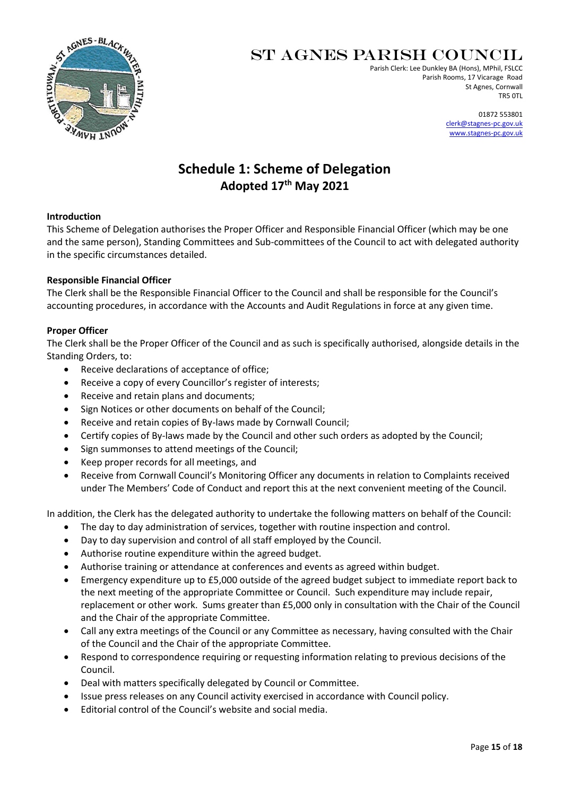

# St Agnes Parish Council

Parish Clerk: Lee Dunkley BA (Hons), MPhil, FSLCC Parish Rooms, 17 Vicarage Road St Agnes, Cornwall TR5 0TL

> 01872 553801 [clerk@stagnes-pc.gov.uk](mailto:clerk@stagnes-pc.gov.uk) [www.stagnes-pc.gov.uk](http://www.stagnes-pc.gov.uk/)

# **Schedule 1: Scheme of Delegation Adopted 17th May 2021**

#### **Introduction**

This Scheme of Delegation authorises the Proper Officer and Responsible Financial Officer (which may be one and the same person), Standing Committees and Sub-committees of the Council to act with delegated authority in the specific circumstances detailed.

# **Responsible Financial Officer**

The Clerk shall be the Responsible Financial Officer to the Council and shall be responsible for the Council's accounting procedures, in accordance with the Accounts and Audit Regulations in force at any given time.

#### **Proper Officer**

The Clerk shall be the Proper Officer of the Council and as such is specifically authorised, alongside details in the Standing Orders, to:

- Receive declarations of acceptance of office;
- Receive a copy of every Councillor's register of interests;
- Receive and retain plans and documents;
- Sign Notices or other documents on behalf of the Council;
- Receive and retain copies of By-laws made by Cornwall Council;
- Certify copies of By-laws made by the Council and other such orders as adopted by the Council;
- Sign summonses to attend meetings of the Council;
- Keep proper records for all meetings, and
- Receive from Cornwall Council's Monitoring Officer any documents in relation to Complaints received under The Members' Code of Conduct and report this at the next convenient meeting of the Council.

In addition, the Clerk has the delegated authority to undertake the following matters on behalf of the Council:

- The day to day administration of services, together with routine inspection and control.
- Day to day supervision and control of all staff employed by the Council.
- Authorise routine expenditure within the agreed budget.
- Authorise training or attendance at conferences and events as agreed within budget.
- Emergency expenditure up to £5,000 outside of the agreed budget subject to immediate report back to the next meeting of the appropriate Committee or Council. Such expenditure may include repair, replacement or other work. Sums greater than £5,000 only in consultation with the Chair of the Council and the Chair of the appropriate Committee.
- Call any extra meetings of the Council or any Committee as necessary, having consulted with the Chair of the Council and the Chair of the appropriate Committee.
- Respond to correspondence requiring or requesting information relating to previous decisions of the Council.
- Deal with matters specifically delegated by Council or Committee.
- Issue press releases on any Council activity exercised in accordance with Council policy.
- Editorial control of the Council's website and social media.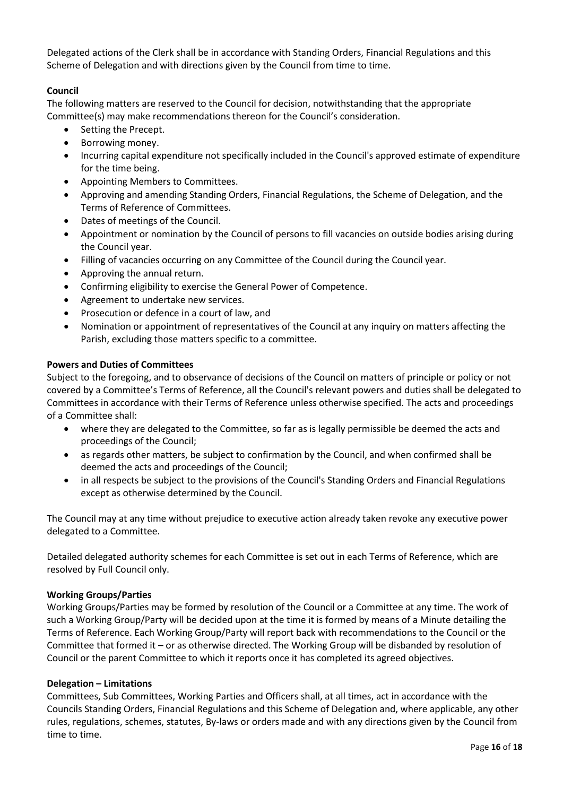Delegated actions of the Clerk shall be in accordance with Standing Orders, Financial Regulations and this Scheme of Delegation and with directions given by the Council from time to time.

# **Council**

The following matters are reserved to the Council for decision, notwithstanding that the appropriate Committee(s) may make recommendations thereon for the Council's consideration.

- Setting the Precept.
- Borrowing money.
- Incurring capital expenditure not specifically included in the Council's approved estimate of expenditure for the time being.
- Appointing Members to Committees.
- Approving and amending Standing Orders, Financial Regulations, the Scheme of Delegation, and the Terms of Reference of Committees.
- Dates of meetings of the Council.
- Appointment or nomination by the Council of persons to fill vacancies on outside bodies arising during the Council year.
- Filling of vacancies occurring on any Committee of the Council during the Council year.
- Approving the annual return.
- Confirming eligibility to exercise the General Power of Competence.
- Agreement to undertake new services.
- Prosecution or defence in a court of law, and
- Nomination or appointment of representatives of the Council at any inquiry on matters affecting the Parish, excluding those matters specific to a committee.

# **Powers and Duties of Committees**

Subject to the foregoing, and to observance of decisions of the Council on matters of principle or policy or not covered by a Committee's Terms of Reference, all the Council's relevant powers and duties shall be delegated to Committees in accordance with their Terms of Reference unless otherwise specified. The acts and proceedings of a Committee shall:

- where they are delegated to the Committee, so far as is legally permissible be deemed the acts and proceedings of the Council;
- as regards other matters, be subject to confirmation by the Council, and when confirmed shall be deemed the acts and proceedings of the Council;
- in all respects be subject to the provisions of the Council's Standing Orders and Financial Regulations except as otherwise determined by the Council.

The Council may at any time without prejudice to executive action already taken revoke any executive power delegated to a Committee.

Detailed delegated authority schemes for each Committee is set out in each Terms of Reference, which are resolved by Full Council only.

# **Working Groups/Parties**

Working Groups/Parties may be formed by resolution of the Council or a Committee at any time. The work of such a Working Group/Party will be decided upon at the time it is formed by means of a Minute detailing the Terms of Reference. Each Working Group/Party will report back with recommendations to the Council or the Committee that formed it – or as otherwise directed. The Working Group will be disbanded by resolution of Council or the parent Committee to which it reports once it has completed its agreed objectives.

# **Delegation – Limitations**

Committees, Sub Committees, Working Parties and Officers shall, at all times, act in accordance with the Councils Standing Orders, Financial Regulations and this Scheme of Delegation and, where applicable, any other rules, regulations, schemes, statutes, By-laws or orders made and with any directions given by the Council from time to time.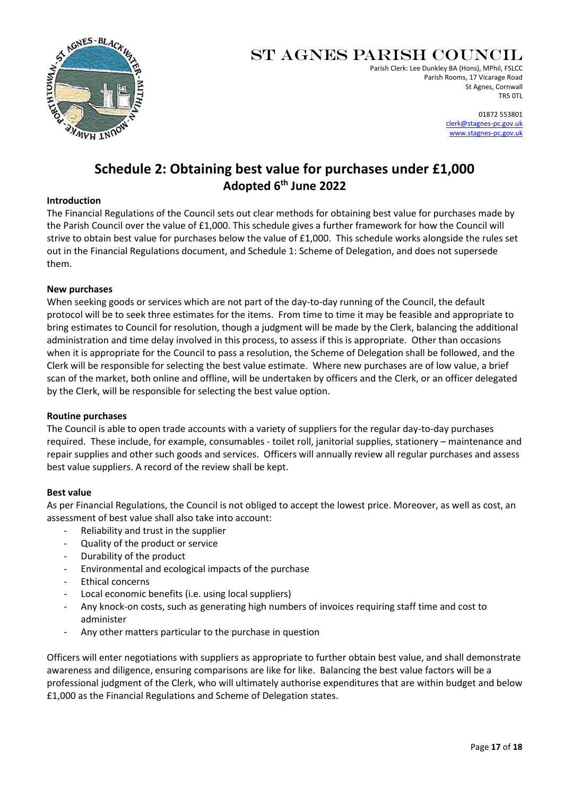

# St Agnes Parish Council

Parish Clerk: Lee Dunkley BA (Hons), MPhil, FSLCC Parish Rooms, 17 Vicarage Road St Agnes, Cornwall TR5 0TL

> 01872 553801 [clerk@stagnes-pc.gov.uk](mailto:clerk@stagnes-pc.gov.uk) [www.stagnes-pc.gov.uk](http://www.stagnes-pc.gov.uk/)

# **Schedule 2: Obtaining best value for purchases under £1,000 Adopted 6 th June 2022**

#### **Introduction**

The Financial Regulations of the Council sets out clear methods for obtaining best value for purchases made by the Parish Council over the value of £1,000. This schedule gives a further framework for how the Council will strive to obtain best value for purchases below the value of £1,000. This schedule works alongside the rules set out in the Financial Regulations document, and Schedule 1: Scheme of Delegation, and does not supersede them.

#### **New purchases**

When seeking goods or services which are not part of the day-to-day running of the Council, the default protocol will be to seek three estimates for the items. From time to time it may be feasible and appropriate to bring estimates to Council for resolution, though a judgment will be made by the Clerk, balancing the additional administration and time delay involved in this process, to assess if this is appropriate. Other than occasions when it is appropriate for the Council to pass a resolution, the Scheme of Delegation shall be followed, and the Clerk will be responsible for selecting the best value estimate. Where new purchases are of low value, a brief scan of the market, both online and offline, will be undertaken by officers and the Clerk, or an officer delegated by the Clerk, will be responsible for selecting the best value option.

# **Routine purchases**

The Council is able to open trade accounts with a variety of suppliers for the regular day-to-day purchases required. These include, for example, consumables - toilet roll, janitorial supplies, stationery – maintenance and repair supplies and other such goods and services. Officers will annually review all regular purchases and assess best value suppliers. A record of the review shall be kept.

# **Best value**

As per Financial Regulations, the Council is not obliged to accept the lowest price. Moreover, as well as cost, an assessment of best value shall also take into account:

- Reliability and trust in the supplier
- Quality of the product or service
- Durability of the product
- Environmental and ecological impacts of the purchase
- Ethical concerns
- Local economic benefits (i.e. using local suppliers)
- Any knock-on costs, such as generating high numbers of invoices requiring staff time and cost to administer
- Any other matters particular to the purchase in question

Officers will enter negotiations with suppliers as appropriate to further obtain best value, and shall demonstrate awareness and diligence, ensuring comparisons are like for like. Balancing the best value factors will be a professional judgment of the Clerk, who will ultimately authorise expenditures that are within budget and below £1,000 as the Financial Regulations and Scheme of Delegation states.